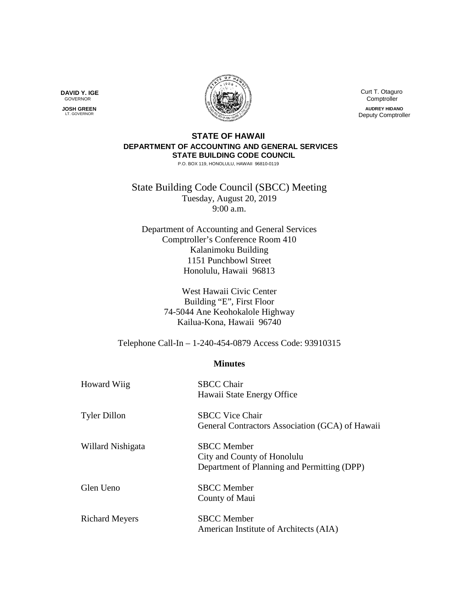**DAVID Y. IGE** GOVERNOR

 **JOSH GREEN** LT. GOVERNOR



 Curt T. Otaguro **Comptroller AUDREY HIDANO** Deputy Comptroller

## **STATE OF HAWAII DEPARTMENT OF ACCOUNTING AND GENERAL SERVICES STATE BUILDING CODE COUNCIL**

P.O. BOX 119, HONOLULU, HAWAII 96810-0119

State Building Code Council (SBCC) Meeting Tuesday, August 20, 2019 9:00 a.m.

Department of Accounting and General Services Comptroller's Conference Room 410 Kalanimoku Building 1151 Punchbowl Street Honolulu, Hawaii 96813

> West Hawaii Civic Center Building "E", First Floor 74-5044 Ane Keohokalole Highway Kailua-Kona, Hawaii 96740

Telephone Call-In – 1-240-454-0879 Access Code: 93910315

## **Minutes**

| <b>Howard Wiig</b>    | <b>SBCC Chair</b><br>Hawaii State Energy Office                                                  |
|-----------------------|--------------------------------------------------------------------------------------------------|
| <b>Tyler Dillon</b>   | <b>SBCC Vice Chair</b><br>General Contractors Association (GCA) of Hawaii                        |
| Willard Nishigata     | <b>SBCC</b> Member<br>City and County of Honolulu<br>Department of Planning and Permitting (DPP) |
| Glen Ueno             | <b>SBCC</b> Member<br>County of Maui                                                             |
| <b>Richard Meyers</b> | <b>SBCC</b> Member<br>American Institute of Architects (AIA)                                     |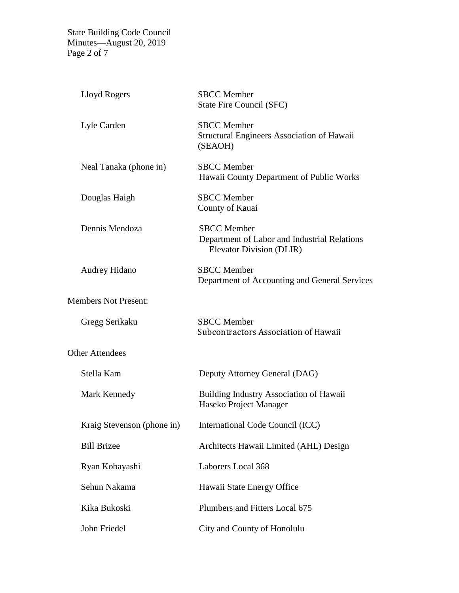State Building Code Council Minutes—August 20, 2019 Page 2 of 7

| Lloyd Rogers                | <b>SBCC</b> Member<br>State Fire Council (SFC)                                                 |
|-----------------------------|------------------------------------------------------------------------------------------------|
| Lyle Carden                 | <b>SBCC</b> Member<br>Structural Engineers Association of Hawaii<br>(SEAOH)                    |
| Neal Tanaka (phone in)      | <b>SBCC</b> Member<br>Hawaii County Department of Public Works                                 |
| Douglas Haigh               | <b>SBCC</b> Member<br>County of Kauai                                                          |
| Dennis Mendoza              | <b>SBCC</b> Member<br>Department of Labor and Industrial Relations<br>Elevator Division (DLIR) |
| <b>Audrey Hidano</b>        | <b>SBCC</b> Member<br>Department of Accounting and General Services                            |
| <b>Members Not Present:</b> |                                                                                                |
| Gregg Serikaku              | <b>SBCC</b> Member<br>Subcontractors Association of Hawaii                                     |
| <b>Other Attendees</b>      |                                                                                                |
| Stella Kam                  | Deputy Attorney General (DAG)                                                                  |
| Mark Kennedy                | <b>Building Industry Association of Hawaii</b><br>Haseko Project Manager                       |
| Kraig Stevenson (phone in)  | International Code Council (ICC)                                                               |
| <b>Bill Brizee</b>          | Architects Hawaii Limited (AHL) Design                                                         |
| Ryan Kobayashi              | Laborers Local 368                                                                             |
| Sehun Nakama                | Hawaii State Energy Office                                                                     |
| Kika Bukoski                | Plumbers and Fitters Local 675                                                                 |
| John Friedel                | City and County of Honolulu                                                                    |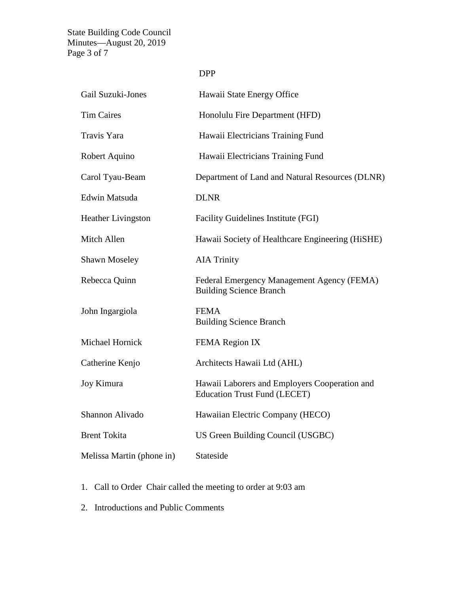State Building Code Council Minutes—August 20, 2019 Page 3 of 7

| Gail Suzuki-Jones         | Hawaii State Energy Office                                                           |
|---------------------------|--------------------------------------------------------------------------------------|
| <b>Tim Caires</b>         | Honolulu Fire Department (HFD)                                                       |
| Travis Yara               | Hawaii Electricians Training Fund                                                    |
| Robert Aquino             | Hawaii Electricians Training Fund                                                    |
| Carol Tyau-Beam           | Department of Land and Natural Resources (DLNR)                                      |
| Edwin Matsuda             | <b>DLNR</b>                                                                          |
| <b>Heather Livingston</b> | Facility Guidelines Institute (FGI)                                                  |
| Mitch Allen               | Hawaii Society of Healthcare Engineering (HiSHE)                                     |
| <b>Shawn Moseley</b>      | <b>AIA Trinity</b>                                                                   |
| Rebecca Quinn             | Federal Emergency Management Agency (FEMA)<br><b>Building Science Branch</b>         |
| John Ingargiola           | <b>FEMA</b><br><b>Building Science Branch</b>                                        |
| Michael Hornick           | FEMA Region IX                                                                       |
| Catherine Kenjo           | Architects Hawaii Ltd (AHL)                                                          |
| Joy Kimura                | Hawaii Laborers and Employers Cooperation and<br><b>Education Trust Fund (LECET)</b> |
| Shannon Alivado           | Hawaiian Electric Company (HECO)                                                     |
| <b>Brent Tokita</b>       | US Green Building Council (USGBC)                                                    |
| Melissa Martin (phone in) | Stateside                                                                            |

- 1. Call to Order Chair called the meeting to order at 9:03 am
- 2. Introductions and Public Comments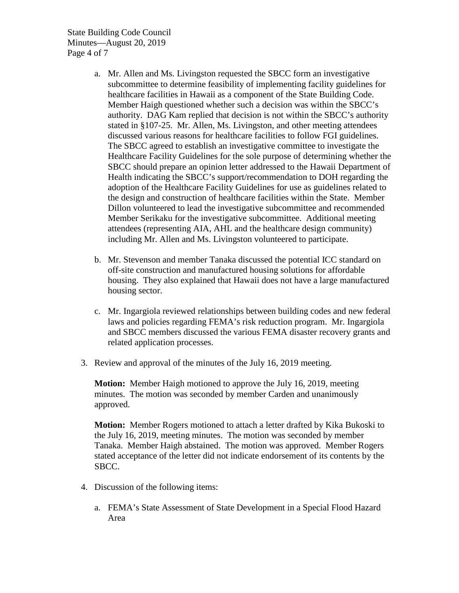State Building Code Council Minutes—August 20, 2019 Page 4 of 7

- a. Mr. Allen and Ms. Livingston requested the SBCC form an investigative subcommittee to determine feasibility of implementing facility guidelines for healthcare facilities in Hawaii as a component of the State Building Code. Member Haigh questioned whether such a decision was within the SBCC's authority. DAG Kam replied that decision is not within the SBCC's authority stated in §107-25. Mr. Allen, Ms. Livingston, and other meeting attendees discussed various reasons for healthcare facilities to follow FGI guidelines. The SBCC agreed to establish an investigative committee to investigate the Healthcare Facility Guidelines for the sole purpose of determining whether the SBCC should prepare an opinion letter addressed to the Hawaii Department of Health indicating the SBCC's support/recommendation to DOH regarding the adoption of the Healthcare Facility Guidelines for use as guidelines related to the design and construction of healthcare facilities within the State. Member Dillon volunteered to lead the investigative subcommittee and recommended Member Serikaku for the investigative subcommittee. Additional meeting attendees (representing AIA, AHL and the healthcare design community) including Mr. Allen and Ms. Livingston volunteered to participate.
- b. Mr. Stevenson and member Tanaka discussed the potential ICC standard on off-site construction and manufactured housing solutions for affordable housing. They also explained that Hawaii does not have a large manufactured housing sector.
- c. Mr. Ingargiola reviewed relationships between building codes and new federal laws and policies regarding FEMA's risk reduction program. Mr. Ingargiola and SBCC members discussed the various FEMA disaster recovery grants and related application processes.
- 3. Review and approval of the minutes of the July 16, 2019 meeting.

**Motion:** Member Haigh motioned to approve the July 16, 2019, meeting minutes. The motion was seconded by member Carden and unanimously approved.

**Motion:** Member Rogers motioned to attach a letter drafted by Kika Bukoski to the July 16, 2019, meeting minutes. The motion was seconded by member Tanaka. Member Haigh abstained. The motion was approved. Member Rogers stated acceptance of the letter did not indicate endorsement of its contents by the SBCC.

- 4. Discussion of the following items:
	- a. FEMA's State Assessment of State Development in a Special Flood Hazard Area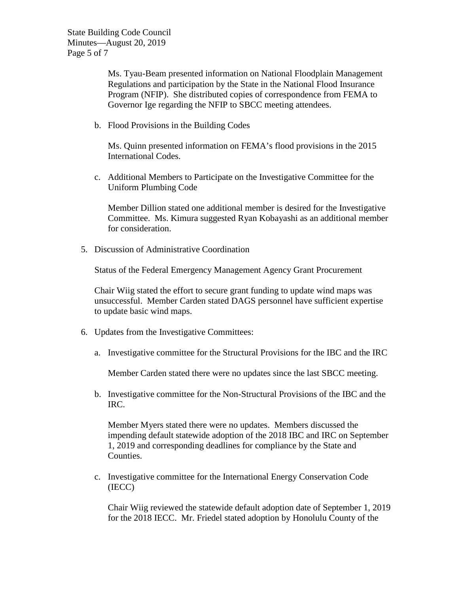State Building Code Council Minutes—August 20, 2019 Page 5 of 7

> Ms. Tyau-Beam presented information on National Floodplain Management Regulations and participation by the State in the National Flood Insurance Program (NFIP). She distributed copies of correspondence from FEMA to Governor Ige regarding the NFIP to SBCC meeting attendees.

b. Flood Provisions in the Building Codes

Ms. Quinn presented information on FEMA's flood provisions in the 2015 International Codes.

c. Additional Members to Participate on the Investigative Committee for the Uniform Plumbing Code

Member Dillion stated one additional member is desired for the Investigative Committee. Ms. Kimura suggested Ryan Kobayashi as an additional member for consideration.

5. Discussion of Administrative Coordination

Status of the Federal Emergency Management Agency Grant Procurement

Chair Wiig stated the effort to secure grant funding to update wind maps was unsuccessful. Member Carden stated DAGS personnel have sufficient expertise to update basic wind maps.

- 6. Updates from the Investigative Committees:
	- a. Investigative committee for the Structural Provisions for the IBC and the IRC

Member Carden stated there were no updates since the last SBCC meeting.

b. Investigative committee for the Non-Structural Provisions of the IBC and the IRC.

Member Myers stated there were no updates. Members discussed the impending default statewide adoption of the 2018 IBC and IRC on September 1, 2019 and corresponding deadlines for compliance by the State and Counties.

c. Investigative committee for the International Energy Conservation Code (IECC)

Chair Wiig reviewed the statewide default adoption date of September 1, 2019 for the 2018 IECC. Mr. Friedel stated adoption by Honolulu County of the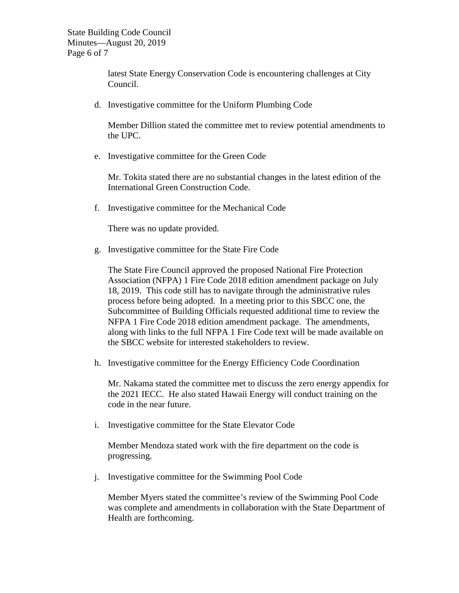State Building Code Council Minutes—August 20, 2019 Page 6 of 7

> latest State Energy Conservation Code is encountering challenges at City Council.

d. Investigative committee for the Uniform Plumbing Code

Member Dillion stated the committee met to review potential amendments to the UPC.

e. Investigative committee for the Green Code

Mr. Tokita stated there are no substantial changes in the latest edition of the International Green Construction Code.

f. Investigative committee for the Mechanical Code

There was no update provided.

g. Investigative committee for the State Fire Code

The State Fire Council approved the proposed National Fire Protection Association (NFPA) 1 Fire Code 2018 edition amendment package on July 18, 2019. This code still has to navigate through the administrative rules process before being adopted. In a meeting prior to this SBCC one, the Subcommittee of Building Officials requested additional time to review the NFPA 1 Fire Code 2018 edition amendment package. The amendments, along with links to the full NFPA 1 Fire Code text will be made available on the SBCC website for interested stakeholders to review.

h. Investigative committee for the Energy Efficiency Code Coordination

Mr. Nakama stated the committee met to discuss the zero energy appendix for the 2021 IECC. He also stated Hawaii Energy will conduct training on the code in the near future.

i. Investigative committee for the State Elevator Code

Member Mendoza stated work with the fire department on the code is progressing.

j. Investigative committee for the Swimming Pool Code

Member Myers stated the committee's review of the Swimming Pool Code was complete and amendments in collaboration with the State Department of Health are forthcoming.